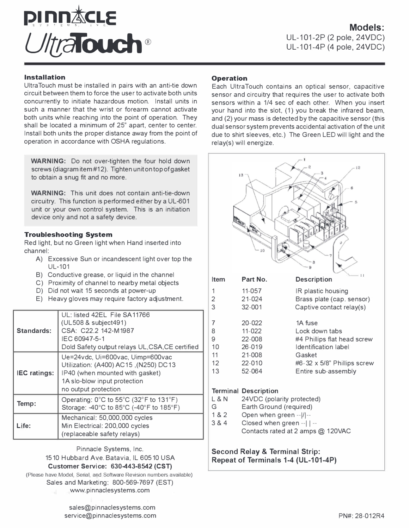

## **Installation**

UltraTouch must be installed in pairs with an anti-tie down circuit between them to force the user to activate both units concurrently to initiate hazardous motion. Install units in such a manner that the wrist or forearm cannot activate both units while reaching into the point of operation. They shall be located a minimum of 25" apart, center to center. Install both units the proper distance away from the point of operation in accordance with OSHA regulations.

**WARNING:** Do not over-tighten the four hold down screws (diagram item #12). Tighten unit on top of gasket to obtain a snug fit and no more.

**WARNING:** This unit does not contain anti-tie-down circuitry. This function is performed either by a UL-601 unit or your own control system. This is an initiation device only and not a safety device.

## **Troubleshooting System**

Red light, but no Green light when Hand inserted into channel:

- A) Excessive Sun or incandescent light over top the UL-101
- B) Conductive grease, or liquid in the channel
- C) Proximity of channel to nearby metal objects
- D) Did not wait 15 seconds at power-up
- E) Heavy gloves may require factory adjustment.

| Standards:          | UL: listed 42EL File SA11766<br>(UL508 & subject491)<br>CSA: C22.2 142-M1987<br>IEC 60947-5-1<br>Dold Safety output relays UL, CSA, CE certified                      |
|---------------------|-----------------------------------------------------------------------------------------------------------------------------------------------------------------------|
| <b>IEC</b> ratings: | Ue=24vdc, Ui=600vac, Uimp=600vac<br>Utilization: (A400) AC15 , (N250) DC13<br>IP40 (when mounted with gasket)<br>1A slo-blow input protection<br>no output protection |
| Temp:               | Operating: $0^{\circ}$ C to 55 $^{\circ}$ C (32 $^{\circ}$ F to 131 $^{\circ}$ F)<br>Storage: -40°C to 85°C (-40°F to 185°F)                                          |
| Life:               | Mechanical: 50,000,000 cycles<br>Min Electrical: 200,000 cycles<br>(replaceable safety relays)                                                                        |

Pinnacle Systems, Inc. 1510 Hubbard Ave. Batavia, IL 60510 USA

**Customer Service: 630-443-8542 (CST)** 

(Please have Model, Serial, and Software Revision numbers available) Sales and Marketing: 800-569-7697 (EST) www.pinnaclesystems.com

**Operation** 

Each UltraTouch contains an optical sensor, capacitive sensor and circuitry that requires the user to activate both sensors within a 1/4 sec of each other. When you insert your hand into the slot, (1) you break the infrared beam, and (2) your mass is detected by the capacitive sensor (this dual sensor system prevents accidental activation of the unit due to shirt sleeves, etc.) The Green LED will light and the relay(s) will energize.



**Second Relay & Terminal Strip: Repeat of Terminals 1-4 (UL-101-4P)** 

sales@pinnaclesystems.com service@pinnaclesystems.com